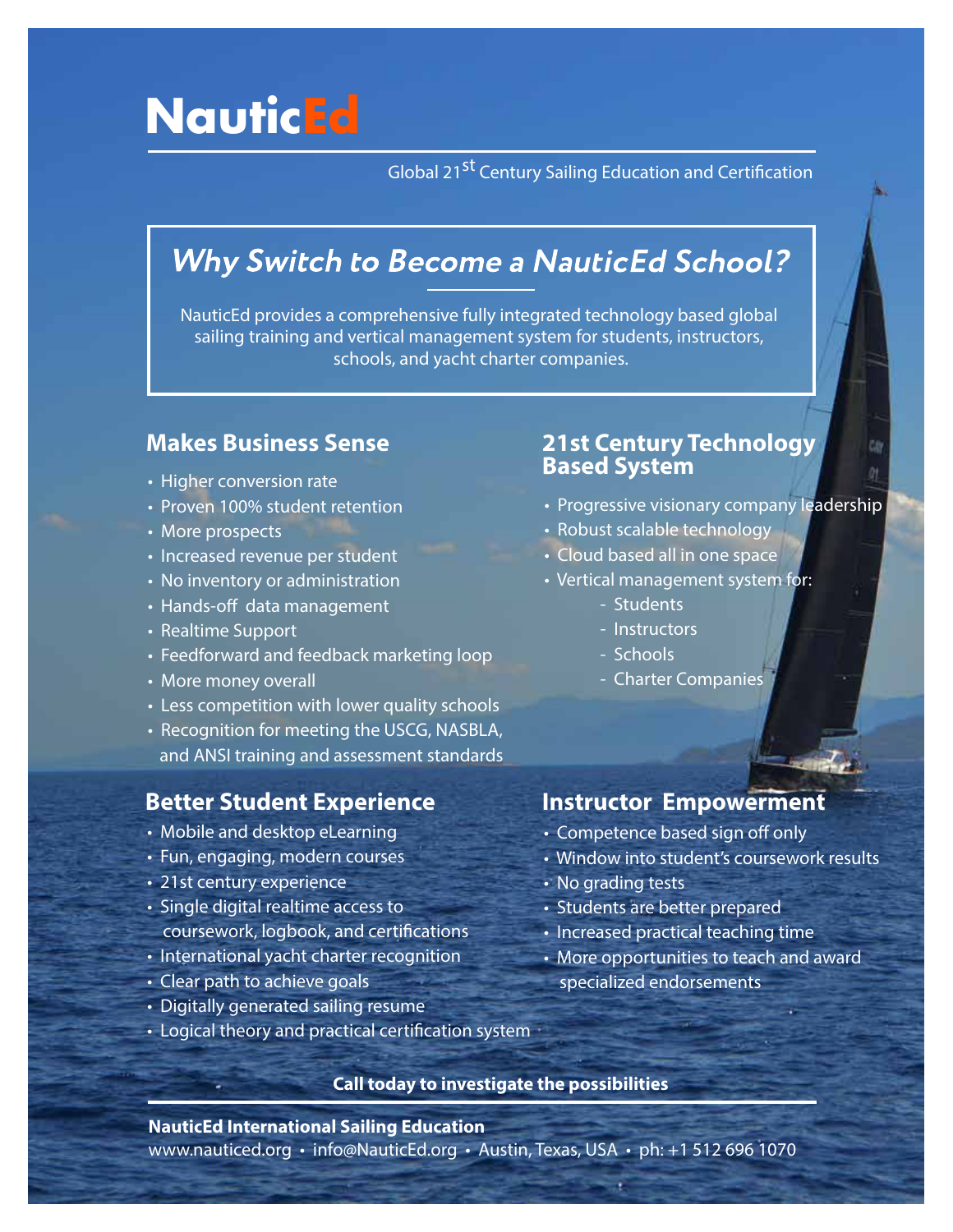# **NauticEd**

Global 21<sup>st</sup> Century Sailing Education and Certification

# **Why Switch to Become a NauticEd School?**

NauticEd provides a comprehensive fully integrated technology based global sailing training and vertical management system for students, instructors, schools, and yacht charter companies.

# **Makes Business Sense**

- Higher conversion rate
- Proven 100% student retention
- More prospects
- Increased revenue per student
- No inventory or administration
- Hands-off data management
- Realtime Support
- Feedforward and feedback marketing loop
- More money overall
- Less competition with lower quality schools
- Recognition for meeting the USCG, NASBLA, and ANSI training and assessment standards

### **Better Student Experience**

- Mobile and desktop eLearning
- Fun, engaging, modern courses
- 21st century experience
- Single digital realtime access to coursework, logbook, and certifications
- International yacht charter recognition
- Clear path to achieve goals
- Digitally generated sailing resume
- Logical theory and practical certification system

# **21st Century Technology Based System**

- Progressive visionary company leadership
- Robust scalable technology
- Cloud based all in one space
- Vertical management system for:
	- Students
	- Instructors
	- Schools
	- Charter Companies

## **Instructor Empowerment**

- Competence based sign off only
- Window into student's coursework results
- No grading tests
- Students are better prepared
- Increased practical teaching time
- More opportunities to teach and award specialized endorsements

**Call today to investigate the possibilities**

**NauticEd International Sailing Education**

www.nauticed.org • info@NauticEd.org • Austin, Texas, USA • ph: +1 512 696 1070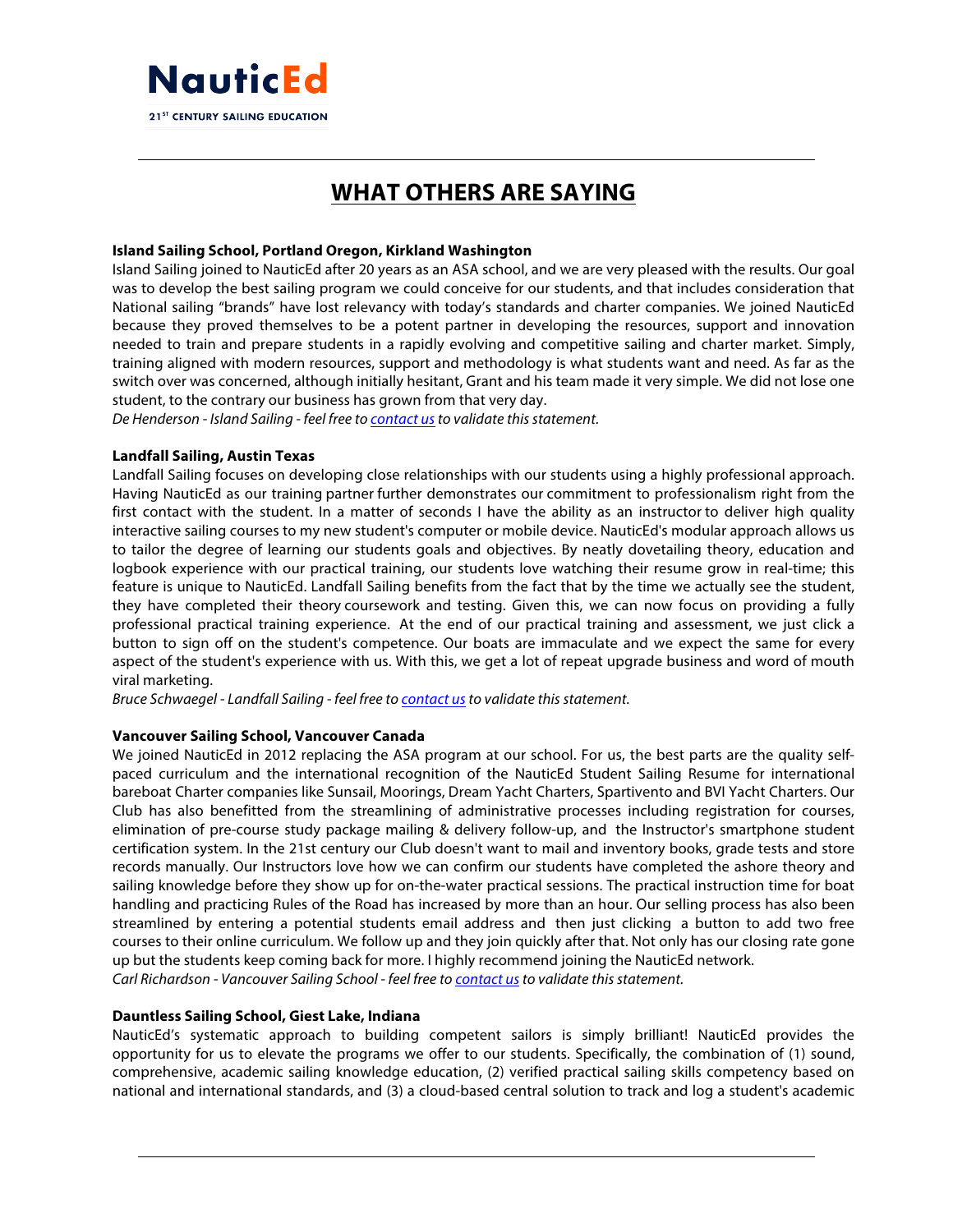

# **WHAT OTHERS ARE SAYING**

#### **Island Sailing School, Portland Oregon, Kirkland Washington**

Island Sailing joined to NauticEd after 20 years as an ASA school, and we are very pleased with the results. Our goal was to develop the best sailing program we could conceive for our students, and that includes consideration that National sailing "brands" have lost relevancy with today's standards and charter companies. We joined NauticEd because they proved themselves to be a potent partner in developing the resources, support and innovation needed to train and prepare students in a rapidly evolving and competitive sailing and charter market. Simply, training aligned with modern resources, support and methodology is what students want and need. As far as the switch over was concerned, although initially hesitant, Grant and his team made it very simple. We did not lose one student, to the contrary our business has grown from that very day.

*De Henderson - Island Sailing - feel free to contact us to validate this statement.* 

#### **Landfall Sailing, Austin Texas**

Landfall Sailing focuses on developing close relationships with our students using a highly professional approach. Having NauticEd as our training partner further demonstrates our commitment to professionalism right from the first contact with the student. In a matter of seconds I have the ability as an instructor to deliver high quality interactive sailing courses to my new student's computer or mobile device. NauticEd's modular approach allows us to tailor the degree of learning our students goals and objectives. By neatly dovetailing theory, education and logbook experience with our practical training, our students love watching their resume grow in real-time; this feature is unique to NauticEd. Landfall Sailing benefits from the fact that by the time we actually see the student, they have completed their theory coursework and testing. Given this, we can now focus on providing a fully professional practical training experience. At the end of our practical training and assessment, we just click a button to sign off on the student's competence. Our boats are immaculate and we expect the same for every aspect of the student's experience with us. With this, we get a lot of repeat upgrade business and word of mouth viral marketing.

*Bruce Schwaegel - Landfall Sailing - feel free to contact us to validate this statement.* 

#### **Vancouver Sailing School, Vancouver Canada**

We joined NauticEd in 2012 replacing the ASA program at our school. For us, the best parts are the quality selfpaced curriculum and the international recognition of the NauticEd Student Sailing Resume for international bareboat Charter companies like Sunsail, Moorings, Dream Yacht Charters, Spartivento and BVI Yacht Charters. Our Club has also benefitted from the streamlining of administrative processes including registration for courses, elimination of pre-course study package mailing & delivery follow-up, and the Instructor's smartphone student certification system. In the 21st century our Club doesn't want to mail and inventory books, grade tests and store records manually. Our Instructors love how we can confirm our students have completed the ashore theory and sailing knowledge before they show up for on-the-water practical sessions. The practical instruction time for boat handling and practicing Rules of the Road has increased by more than an hour. Our selling process has also been streamlined by entering a potential students email address and then just clicking a button to add two free courses to their online curriculum. We follow up and they join quickly after that. Not only has our closing rate gone up but the students keep coming back for more. I highly recommend joining the NauticEd network. *Carl Richardson - Vancouver Sailing School - feel free to contact us to validate this statement.* 

#### **Dauntless Sailing School, Giest Lake, Indiana**

NauticEd's systematic approach to building competent sailors is simply brilliant! NauticEd provides the opportunity for us to elevate the programs we offer to our students. Specifically, the combination of (1) sound, comprehensive, academic sailing knowledge education, (2) verified practical sailing skills competency based on national and international standards, and (3) a cloud-based central solution to track and log a student's academic